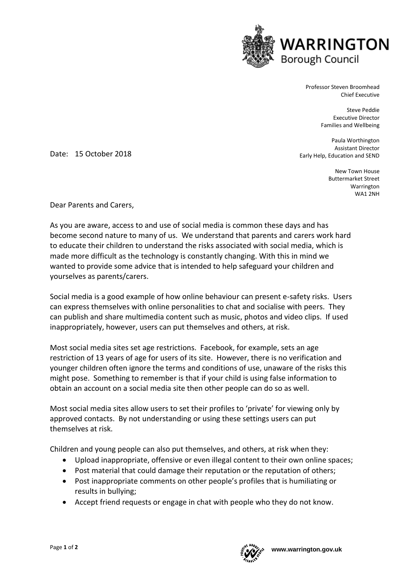

Professor Steven Broomhead Chief Executive

> Steve Peddie Executive Director Families and Wellbeing

Paula Worthington Assistant Director Early Help, Education and SEND

> New Town House Buttermarket Street Warrington WA1 2NH

Date: 15 October 2018

Dear Parents and Carers,

As you are aware, access to and use of social media is common these days and has become second nature to many of us. We understand that parents and carers work hard to educate their children to understand the risks associated with social media, which is made more difficult as the technology is constantly changing. With this in mind we wanted to provide some advice that is intended to help safeguard your children and yourselves as parents/carers.

Social media is a good example of how online behaviour can present e-safety risks. Users can express themselves with online personalities to chat and socialise with peers. They can publish and share multimedia content such as music, photos and video clips. If used inappropriately, however, users can put themselves and others, at risk.

Most social media sites set age restrictions. Facebook, for example, sets an age restriction of 13 years of age for users of its site. However, there is no verification and younger children often ignore the terms and conditions of use, unaware of the risks this might pose. Something to remember is that if your child is using false information to obtain an account on a social media site then other people can do so as well.

Most social media sites allow users to set their profiles to 'private' for viewing only by approved contacts. By not understanding or using these settings users can put themselves at risk.

Children and young people can also put themselves, and others, at risk when they:

- Upload inappropriate, offensive or even illegal content to their own online spaces;
- Post material that could damage their reputation or the reputation of others;
- Post inappropriate comments on other people's profiles that is humiliating or results in bullying;
- Accept friend requests or engage in chat with people who they do not know.